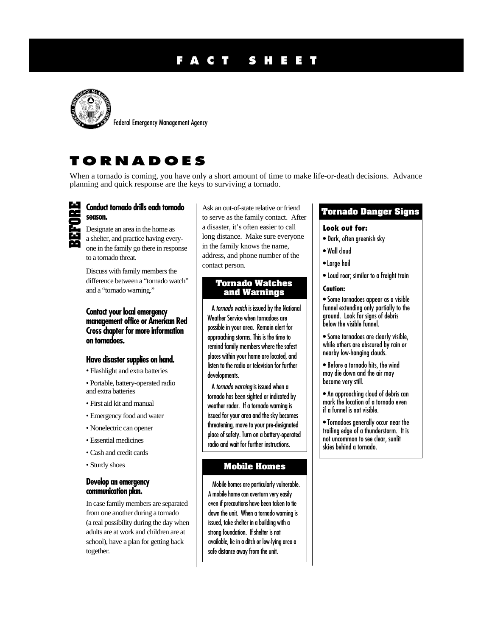### **FACT SHEET**



Federal Emergency Management Agency

### **TORNADOES**

When a tornado is coming, you have only a short amount of time to make life-or-death decisions. Advance planning and quick response are the keys to surviving a tornado.

## **season.**

**BEFOREE Conduct tornado drills each tornado**<br> **BEFORE SHELL DESIGNATION**<br> **BEFORE A SHELT**<br> **CONDUCTER SHELL SHELL SHELL SHELL SHELL SHELL SHELL SHELL SHELL SHELL SHELL SHELL SHELL SHELL SHELL SHELL SHELL SHELL SHELL SHEL** Designate an area in the home as one in the family go there in response to a tornado threat.

> Discuss with family members the difference between a "tornado watch" and a "tornado warning."

> **Contact your local emergency management office or American Red Cross chapter for more information on tornadoes.**

#### **Have disaster supplies on hand.**

- Flashlight and extra batteries
- Portable, battery-operated radio and extra batteries
- First aid kit and manual
- Emergency food and water
- Nonelectric can opener
- Essential medicines
- Cash and credit cards
- Sturdy shoes

#### **Develop an emergency communication plan.**

In case family members are separated from one another during a tornado (a real possibility during the day when adults are at work and children are at school), have a plan for getting back together.

Ask an out-of-state relative or friend to serve as the family contact. After a disaster, it's often easier to call long distance. Make sure everyone in the family knows the name, address, and phone number of the contact person.

#### **Tornado Watches and Warnings**

A tornado watch is issued by the National Weather Service when tornadoes are possible in your area. Remain alert for approaching storms. This is the time to remind family members where the safest places within your home are located, and listen to the radio or television for further developments.

A tornado warning is issued when a tornado has been sighted or indicated by weather radar. If a tornado warning is issued for your area and the sky becomes threatening, move to your pre-designated place of safety. Turn on a battery-operated radio and wait for further instructions.

#### **Mobile Homes**

Mobile homes are particularly vulnerable. A mobile home can overturn very easily even if precautions have been taken to tie down the unit. When a tornado warning is issued, take shelter in a building with a strong foundation. If shelter is not available, lie in a ditch or low-lying area a safe distance away from the unit.

#### **Tornado Danger Signs**

#### **Look out for:**

- Dark, often greenish sky
- Wall cloud
- Large hail
- Loud roar; similar to a freight train

#### **Caution:**

• Some tornadoes appear as a visible funnel extending only partially to the ground. Look for signs of debris below the visible funnel.

- Some tornadoes are clearly visible, while others are obscured by rain or nearby low-hanging clouds.
- Before a tornado hits, the wind may die down and the air may become very still.
- An approaching cloud of debris can mark the location of a tornado even if a funnel is not visible.
- Tornadoes generally occur near the trailing edge of a thunderstorm. It is not uncommon to see clear, sunlit skies behind a tornado.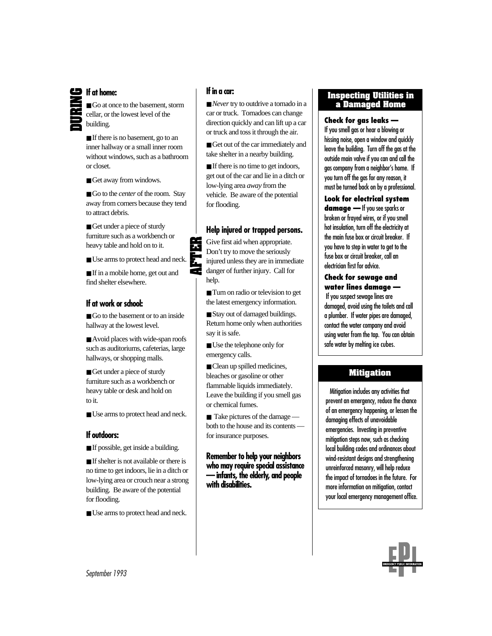

**Durif at home:**<br> **Durify C** at one<br>
cellar, or the building. ■ Go at once to the basement, storm cellar, or the lowest level of the building.

> ■ If there is no basement, go to an inner hallway or a small inner room without windows, such as a bathroom or closet.

■ Get away from windows.

■ Go to the *center* of the room. Stay away from corners because they tend to attract debris.

■ Get under a piece of sturdy furniture such as a workbench or heavy table and hold on to it.

■ Use arms to protect head and neck.

■ If in a mobile home, get out and find shelter elsewhere.

#### **If at work or school:**

■ Go to the basement or to an inside hallway at the lowest level.

■ Avoid places with wide-span roofs such as auditoriums, cafeterias, large hallways, or shopping malls.

■ Get under a piece of sturdy furniture such as a workbench or heavy table or desk and hold on to it.

■ Use arms to protect head and neck.

#### **If outdoors:**

■ If possible, get inside a building.

■ If shelter is not available or there is no time to get indoors, lie in a ditch or low-lying area or crouch near a strong building. Be aware of the potential for flooding.

■ Use arms to protect head and neck.

#### **If in a car:**

**AFTER**

■ *Never* try to outdrive a tornado in a car or truck. Tornadoes can change direction quickly and can lift up a car or truck and toss it through the air.

■ Get out of the car immediately and take shelter in a nearby building.

■ If there is no time to get indoors, get out of the car and lie in a ditch or low-lying area *away* from the vehicle. Be aware of the potential for flooding.

#### **Help injured or trapped persons.**

Give first aid when appropriate. Don't try to move the seriously injured unless they are in immediate danger of further injury. Call for help.

■ Turn on radio or television to get the latest emergency information.

■ Stay out of damaged buildings. Return home only when authorities say it is safe.

■ Use the telephone only for emergency calls.

■ Clean up spilled medicines, bleaches or gasoline or other flammable liquids immediately. Leave the building if you smell gas or chemical fumes.

■ Take pictures of the damage both to the house and its contents for insurance purposes.

**Remember to help your neighbors who may require special assistance — infants, the elderly, and people with disabilities.**

#### **Inspecting Utilities in a Damaged Home**

**Check for gas leaks —** If you smell gas or hear a blowing or hissing noise, open a window and quickly leave the building. Turn off the gas at the outside main valve if you can and call the gas company from a neighbor's home. If you turn off the gas for any reason, it must be turned back on by a professional.

**Look for electrical system**

**damage —** If you see sparks or broken or frayed wires, or if you smell hot insulation, turn off the electricity at the main fuse box or circuit breaker. If you have to step in water to get to the fuse box or circuit breaker, call an electrician first for advice.

**Check for sewage and water lines damage —** If you suspect sewage lines are damaged, avoid using the toilets and call a plumber. If water pipes are damaged, contact the water company and avoid using water from the tap. You can obtain safe water by melting ice cubes.

### **Mitigation**

Mitigation includes any activities that prevent an emergency, reduce the chance of an emergency happening, or lessen the damaging effects of unavoidable emergencies. Investing in preventive mitigation steps now, such as checking local building codes and ordinances about wind-resistant designs and strengthening unreinforced masonry, will help reduce the impact of tornadoes in the future. For more information on mitigation, contact your local emergency management office.

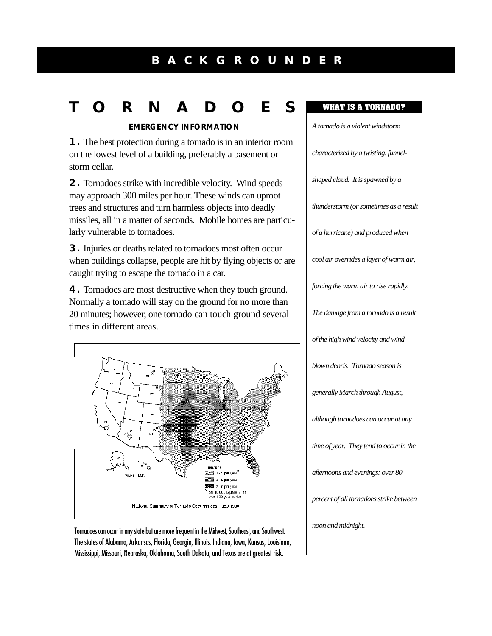### **B A C K G R O U N D E R**

### **T O R N A D O E S**

**EMERGENCY INFORMATION**

**1.** The best protection during a tornado is in an interior room on the lowest level of a building, preferably a basement or storm cellar.

**2.** Tornadoes strike with incredible velocity. Wind speeds may approach 300 miles per hour. These winds can uproot trees and structures and turn harmless objects into deadly missiles, all in a matter of seconds. Mobile homes are particularly vulnerable to tornadoes.

**3.** Injuries or deaths related to tornadoes most often occur when buildings collapse, people are hit by flying objects or are caught trying to escape the tornado in a car.

**4.** Tornadoes are most destructive when they touch ground. Normally a tornado will stay on the ground for no more than 20 minutes; however, one tornado can touch ground several times in different areas.



Tornadoes can occur in any state but are more frequent in the Midwest, Southeast, and Southwest. The states of Alabama, Arkansas, Florida, Georgia, Illinois, Indiana, Iowa, Kansas, Louisiana, Mississippi, Missouri, Nebraska, Oklahoma, South Dakota, and Texas are at greatest risk.

# **WHAT IS A TORNADO?** *A tornado is a violent windstorm characterized by a twisting, funnelshaped cloud. It is spawned by a thunderstorm (or sometimes as a result of a hurricane) and produced when cool air overrides a layer of warm air, forcing the warm air to rise rapidly. The damage from a tornado is a result of the high wind velocity and windblown debris. Tornado season is generally March through August, although tornadoes can occur at any time of year. They tend to occur in the afternoons and evenings: over 80 percent of all tornadoes strike between noon and midnight.*